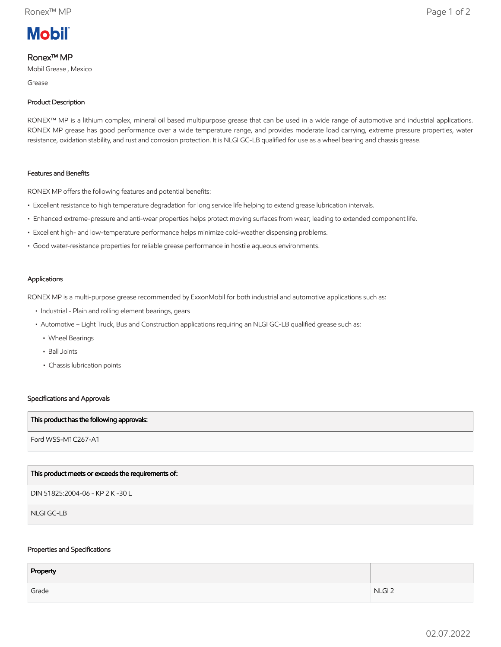

# Ronex™ MP

Mobil Grease , Mexico

Grease

### Product Description

RONEX™ MP is a lithium complex, mineral oil based multipurpose grease that can be used in a wide range of automotive and industrial applications. RONEX MP grease has good performance over a wide temperature range, and provides moderate load carrying, extreme pressure properties, water resistance, oxidation stability, and rust and corrosion protection. It is NLGI GC-LB qualified for use as a wheel bearing and chassis grease.

## Features and Benefits

RONEX MP offers the following features and potential benefits:

- Excellent resistance to high temperature degradation for long service life helping to extend grease lubrication intervals.
- Enhanced extreme-pressure and anti-wear properties helps protect moving surfaces from wear; leading to extended component life.
- Excellent high- and low-temperature performance helps minimize cold-weather dispensing problems.
- Good water-resistance properties for reliable grease performance in hostile aqueous environments.

#### Applications

RONEX MP is a multi-purpose grease recommended by ExxonMobil for both industrial and automotive applications such as:

- Industrial Plain and rolling element bearings, gears
- • Automotive Light Truck, Bus and Construction applications requiring an NLGI GC-LB qualified grease such as:
	- Wheel Bearings
	- Ball Joints
	- Chassis lubrication points

### Specifications and Approvals

#### This product has the following approvals:

Ford WSS-M1C267-A1

# This product meets or exceeds the requirements of:

DIN 51825:2004-06 - KP 2 K -30 L

NLGI GC-LB

### Properties and Specifications

| Property |                   |
|----------|-------------------|
| Grade    | NLGI <sub>2</sub> |